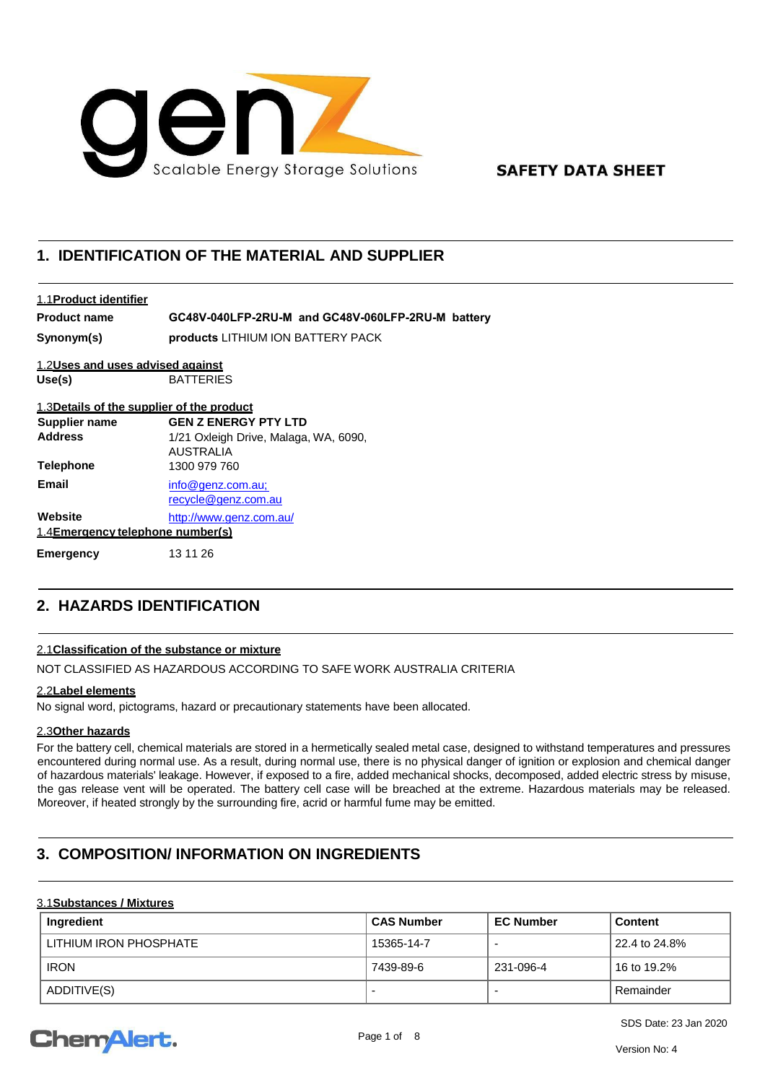

# **SAFETY DATA SHEET**

# **1. IDENTIFICATION OF THE MATERIAL AND SUPPLIER**

#### 1.1 **Product identifier**

**Product name GC48V-040LFP-2RU-M and GC48V-060LFP-2RU-M battery** 

**Synonym(s) products** LITHIUM ION BATTERY PACK

# 1.2 **Uses and uses advised against**

Use(s) **BATTERIES** 

#### 1.3 **Details of the supplier of the product**

| Supplier name                               | <b>GEN Z ENERGY PTY LTD</b>                               |
|---------------------------------------------|-----------------------------------------------------------|
| <b>Address</b>                              | 1/21 Oxleigh Drive, Malaga, WA, 6090,<br><b>AUSTRALIA</b> |
| <b>Telephone</b>                            | 1300 979 760                                              |
| Email                                       | info@genz.com.au;<br>recycle@genz.com.au                  |
| Website<br>1.4Emergency telephone number(s) | http://www.genz.com.au/                                   |
| <b>Emergency</b>                            | 13 11 26                                                  |

# **2. HAZARDS IDENTIFICATION**

## 2.1 **Classification of the substance or mixture**

NOT CLASSIFIED AS HAZARDOUS ACCORDING TO SAFE WORK AUSTRALIA CRITERIA

## 2.2 **Label elements**

No signal word, pictograms, hazard or precautionary statements have been allocated.

# 2.3 **Other hazards**

For the battery cell, chemical materials are stored in a hermetically sealed metal case, designed to withstand temperatures and pressures encountered during normal use. As a result, during normal use, there is no physical danger of ignition or explosion and chemical danger of hazardous materials' leakage. However, if exposed to a fire, added mechanical shocks, decomposed, added electric stress by misuse, the gas release vent will be operated. The battery cell case will be breached at the extreme. Hazardous materials may be released. Moreover, if heated strongly by the surrounding fire, acrid or harmful fume may be emitted.

# **3. COMPOSITION/ INFORMATION ON INGREDIENTS**

# 3.1 **Substances / Mixtures**

| Ingredient             | CAS Number | <b>EC Number</b> | <b>Content</b> |
|------------------------|------------|------------------|----------------|
| LITHIUM IRON PHOSPHATE | 15365-14-7 |                  | 22.4 to 24.8%  |
| <b>IRON</b>            | 7439-89-6  | 231-096-4        | 16 to 19.2%    |
| ADDITIVE(S)            |            |                  | Remainder      |

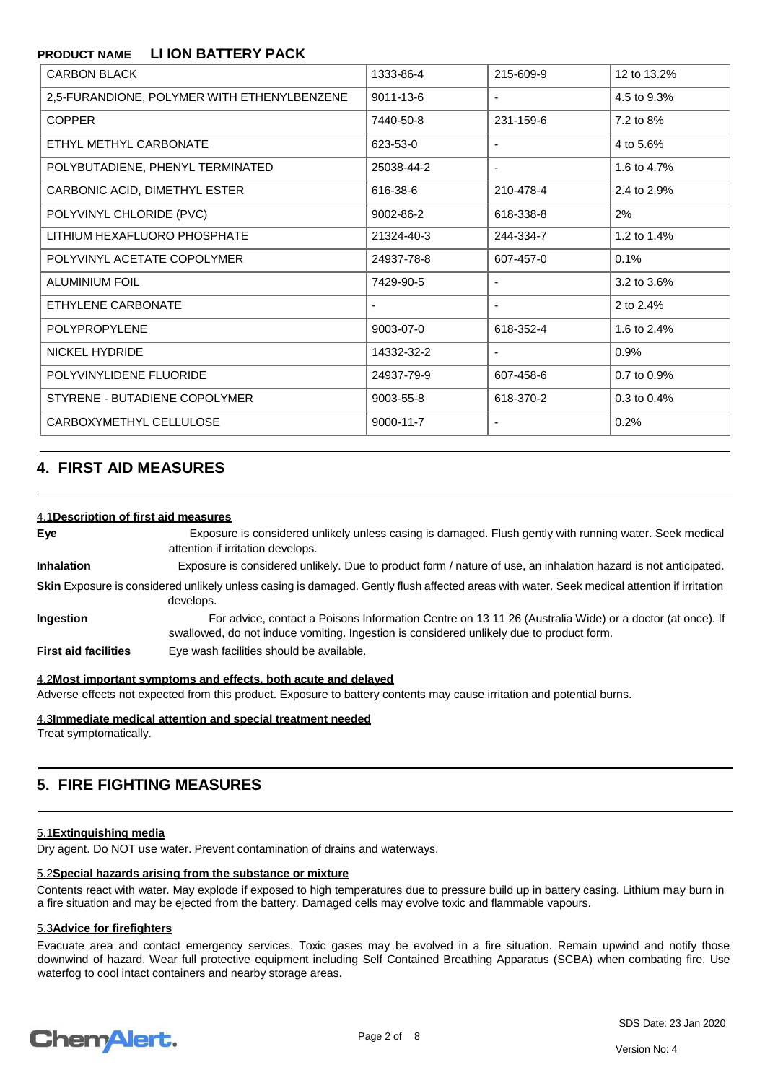| <b>CARBON BLACK</b>                         | 1333-86-4                | 215-609-9                | 12 to 13.2% |
|---------------------------------------------|--------------------------|--------------------------|-------------|
| 2,5-FURANDIONE, POLYMER WITH ETHENYLBENZENE | 9011-13-6                |                          | 4.5 to 9.3% |
| <b>COPPER</b>                               | 7440-50-8                | 231-159-6                | 7.2 to 8%   |
| ETHYL METHYL CARBONATE                      | 623-53-0                 | $\overline{\phantom{a}}$ | 4 to 5.6%   |
| POLYBUTADIENE, PHENYL TERMINATED            | 25038-44-2               |                          | 1.6 to 4.7% |
| CARBONIC ACID, DIMETHYL ESTER               | 616-38-6                 | 210-478-4                | 2.4 to 2.9% |
| POLYVINYL CHLORIDE (PVC)                    | 9002-86-2                | 618-338-8                | 2%          |
| LITHIUM HEXAFLUORO PHOSPHATE                | 21324-40-3               | 244-334-7                | 1.2 to 1.4% |
| POLYVINYL ACETATE COPOLYMER                 | 24937-78-8               | 607-457-0                | 0.1%        |
| <b>ALUMINIUM FOIL</b>                       | 7429-90-5                |                          | 3.2 to 3.6% |
| ETHYLENE CARBONATE                          | $\overline{\phantom{a}}$ | $\overline{\phantom{a}}$ | 2 to 2.4%   |
| <b>POLYPROPYLENE</b>                        | 9003-07-0                | 618-352-4                | 1.6 to 2.4% |
| <b>NICKEL HYDRIDE</b>                       | 14332-32-2               |                          | 0.9%        |
| POLYVINYLIDENE FLUORIDE                     | 24937-79-9               | 607-458-6                | 0.7 to 0.9% |
| STYRENE - BUTADIENE COPOLYMER               | 9003-55-8                | 618-370-2                | 0.3 to 0.4% |
| CARBOXYMETHYL CELLULOSE                     | 9000-11-7                |                          | 0.2%        |

# **4. FIRST AID MEASURES**

### 4.1**Description of first aid measures**

**Eye** Exposure is considered unlikely unless casing is damaged. Flush gently with running water. Seek medical attention if irritation develops. **Inhalation** Exposure is considered unlikely. Due to product form / nature of use, an inhalation hazard is not anticipated. **Skin** Exposure is considered unlikely unless casing is damaged. Gently flush affected areas with water. Seek medical attention if irritation develops. **Ingestion** For advice, contact a Poisons Information Centre on 13 11 26 (Australia Wide) or a doctor (at once). If swallowed, do not induce vomiting. Ingestion is considered unlikely due to product form.

**First aid facilities** Eye wash facilities should be available.

#### 4.2**Most important symptoms and effects, both acute and delayed**

Adverse effects not expected from this product. Exposure to battery contents may cause irritation and potential burns.

### 4.3**Immediate medical attention and special treatment needed**

Treat symptomatically.

# **5. FIRE FIGHTING MEASURES**

## 5.1**Extinguishing media**

Dry agent. Do NOT use water. Prevent contamination of drains and waterways.

#### 5.2**Special hazards arising from the substance or mixture**

Contents react with water. May explode if exposed to high temperatures due to pressure build up in battery casing. Lithium may burn in a fire situation and may be ejected from the battery. Damaged cells may evolve toxic and flammable vapours.

## 5.3**Advice for firefighters**

Evacuate area and contact emergency services. Toxic gases may be evolved in a fire situation. Remain upwind and notify those downwind of hazard. Wear full protective equipment including Self Contained Breathing Apparatus (SCBA) when combating fire. Use waterfog to cool intact containers and nearby storage areas.

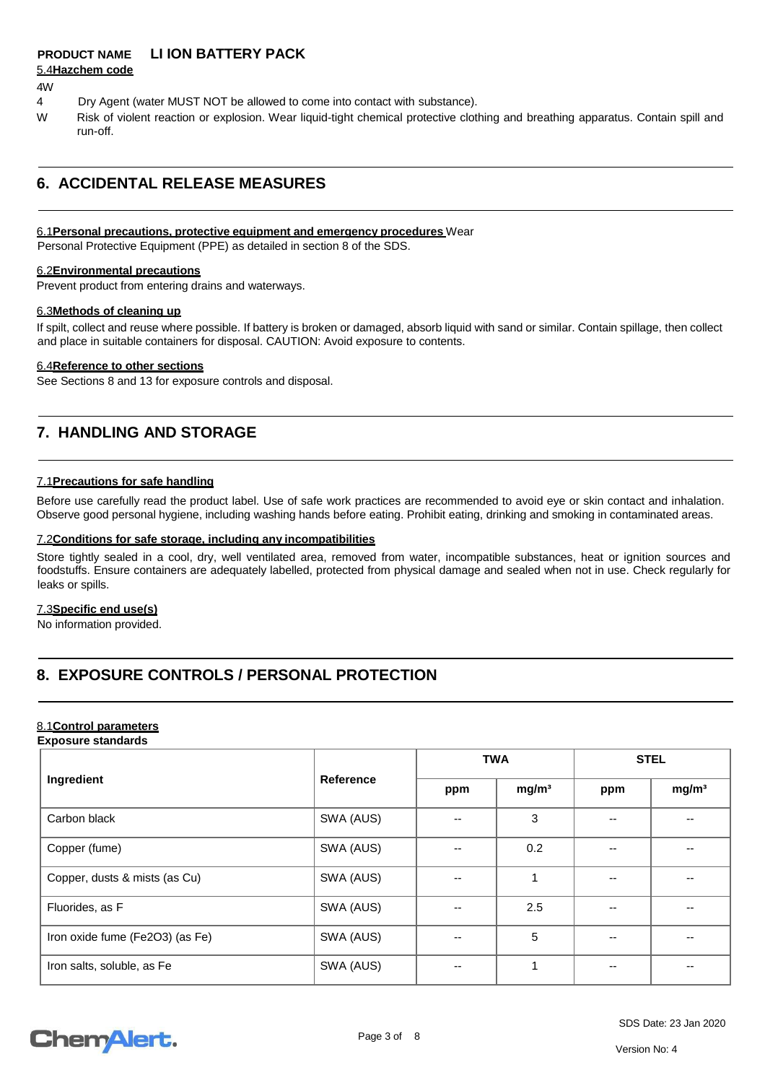## 5.4**Hazchem code**

#### 4W

- 4 Dry Agent (water MUST NOT be allowed to come into contact with substance).
- W Risk of violent reaction or explosion. Wear liquid-tight chemical protective clothing and breathing apparatus. Contain spill and run-off.

# **6. ACCIDENTAL RELEASE MEASURES**

## 6.1**Personal precautions, protective equipment and emergency procedures** Wear

Personal Protective Equipment (PPE) as detailed in section 8 of the SDS.

## 6.2**Environmental precautions**

Prevent product from entering drains and waterways.

#### 6.3**Methods of cleaning up**

If spilt, collect and reuse where possible. If battery is broken or damaged, absorb liquid with sand or similar. Contain spillage, then collect and place in suitable containers for disposal. CAUTION: Avoid exposure to contents.

#### 6.4**Reference to other sections**

See Sections 8 and 13 for exposure controls and disposal.

# **7. HANDLING AND STORAGE**

#### 7.1**Precautions for safe handling**

Before use carefully read the product label. Use of safe work practices are recommended to avoid eye or skin contact and inhalation. Observe good personal hygiene, including washing hands before eating. Prohibit eating, drinking and smoking in contaminated areas.

#### 7.2**Conditions for safe storage, including any incompatibilities**

Store tightly sealed in a cool, dry, well ventilated area, removed from water, incompatible substances, heat or ignition sources and foodstuffs. Ensure containers are adequately labelled, protected from physical damage and sealed when not in use. Check regularly for leaks or spills.

#### 7.3**Specific end use(s)**

No information provided.

# **8. EXPOSURE CONTROLS / PERSONAL PROTECTION**

#### 8.1**Control parameters Exposure standards**

|                                 |           | <b>TWA</b> |                   | <b>STEL</b> |                   |
|---------------------------------|-----------|------------|-------------------|-------------|-------------------|
| Ingredient                      | Reference | ppm        | mg/m <sup>3</sup> | ppm         | mg/m <sup>3</sup> |
| Carbon black                    | SWA (AUS) | --         | 3                 |             |                   |
| Copper (fume)                   | SWA (AUS) | --         | 0.2               | --          | --                |
| Copper, dusts & mists (as Cu)   | SWA (AUS) | $-$        | 1                 | --          | --                |
| Fluorides, as F                 | SWA (AUS) | --         | 2.5               | --          |                   |
| Iron oxide fume (Fe2O3) (as Fe) | SWA (AUS) | --         | 5                 | --          | --                |
| Iron salts, soluble, as Fe      | SWA (AUS) | --         | 1                 | --          | --                |

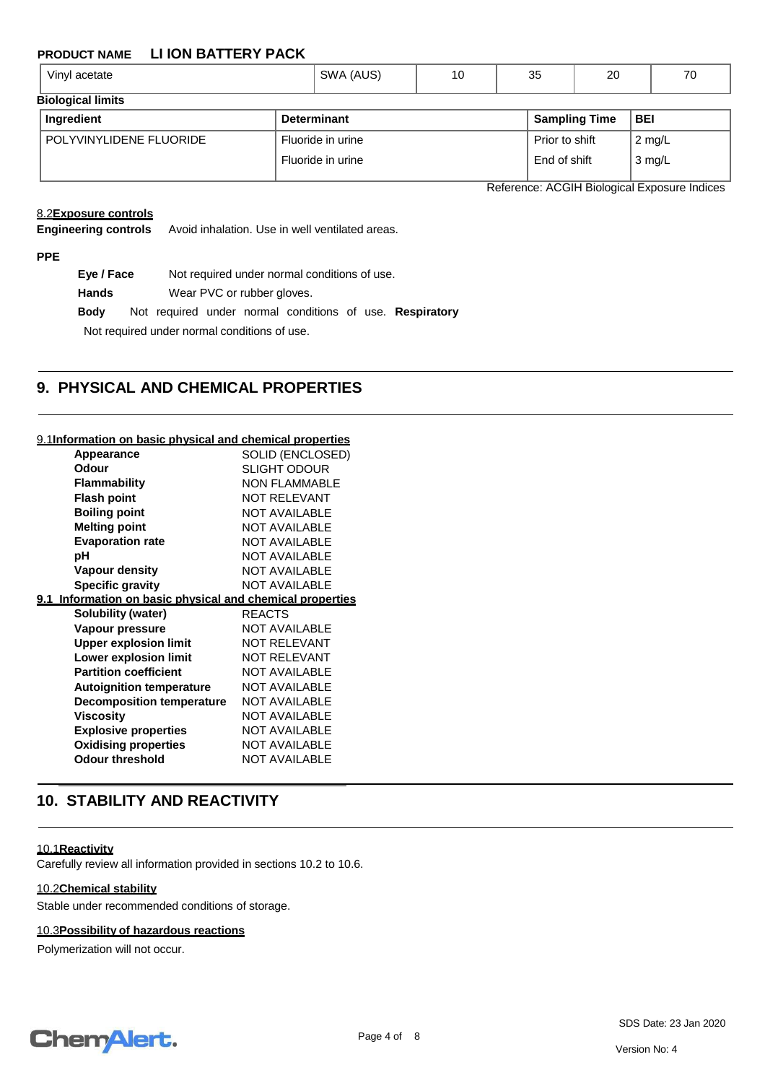| Ingredient              | <b>Determinant</b> | <b>Sampling Time</b> | <b>BEI</b>       |
|-------------------------|--------------------|----------------------|------------------|
| POLYVINYLIDENE FLUORIDE | Fluoride in urine  | Prior to shift       | $2 \text{ mg/L}$ |
|                         | Fluoride in urine  | End of shift         | $3 \text{ mg/L}$ |

Reference: ACGIH Biological Exposure Indices

## 8.2**Exposure controls**

**Engineering controls** Avoid inhalation. Use in well ventilated areas.

#### **PPE**

**Eye / Face** Not required under normal conditions of use. **Hands** Wear PVC or rubber gloves. **Body** Not required under normal conditions of use. **Respiratory** Not required under normal conditions of use.

# **9. PHYSICAL AND CHEMICAL PROPERTIES**

## 9.1**Information on basic physical and chemical properties**

| <b>Appearance</b>                                         | SOLID (ENCLOSED)     |
|-----------------------------------------------------------|----------------------|
| <b>Odour</b>                                              | <b>SLIGHT ODOUR</b>  |
| <b>Flammability</b>                                       | <b>NON FLAMMABLE</b> |
| <b>Flash point</b>                                        | <b>NOT RELEVANT</b>  |
| <b>Boiling point</b>                                      | <b>NOT AVAILABLE</b> |
| <b>Melting point</b>                                      | <b>NOT AVAILABLE</b> |
| <b>Evaporation rate</b>                                   | <b>NOT AVAILABLE</b> |
| рH                                                        | <b>NOT AVAILABLE</b> |
| Vapour density                                            | <b>NOT AVAILABLE</b> |
| <b>Specific gravity</b>                                   | <b>NOT AVAILABLE</b> |
| 9.1 Information on basic physical and chemical properties |                      |
| Solubility (water)                                        | <b>REACTS</b>        |
| Vapour pressure                                           | <b>NOT AVAILABLE</b> |
| <b>Upper explosion limit</b>                              | <b>NOT RELEVANT</b>  |
| <b>Lower explosion limit</b>                              | <b>NOT RELEVANT</b>  |
| <b>Partition coefficient</b>                              | <b>NOT AVAILABLE</b> |
| <b>Autoignition temperature</b>                           | <b>NOT AVAILABLE</b> |
| <b>Decomposition temperature</b>                          | <b>NOT AVAILABLE</b> |
| <b>Viscosity</b>                                          | <b>NOT AVAILABLE</b> |
| <b>Explosive properties</b>                               | <b>NOT AVAILABLE</b> |
| <b>Oxidising properties</b>                               | <b>NOT AVAILABLE</b> |
| <b>Odour threshold</b>                                    | <b>NOT AVAILABLE</b> |
|                                                           |                      |

# **10. STABILITY AND REACTIVITY**

#### 10.1**Reactivity**

Carefully review all information provided in sections 10.2 to 10.6.

## 10.2**Chemical stability**

Stable under recommended conditions of storage.

## 10.3**Possibility of hazardous reactions**

Polymerization will not occur.

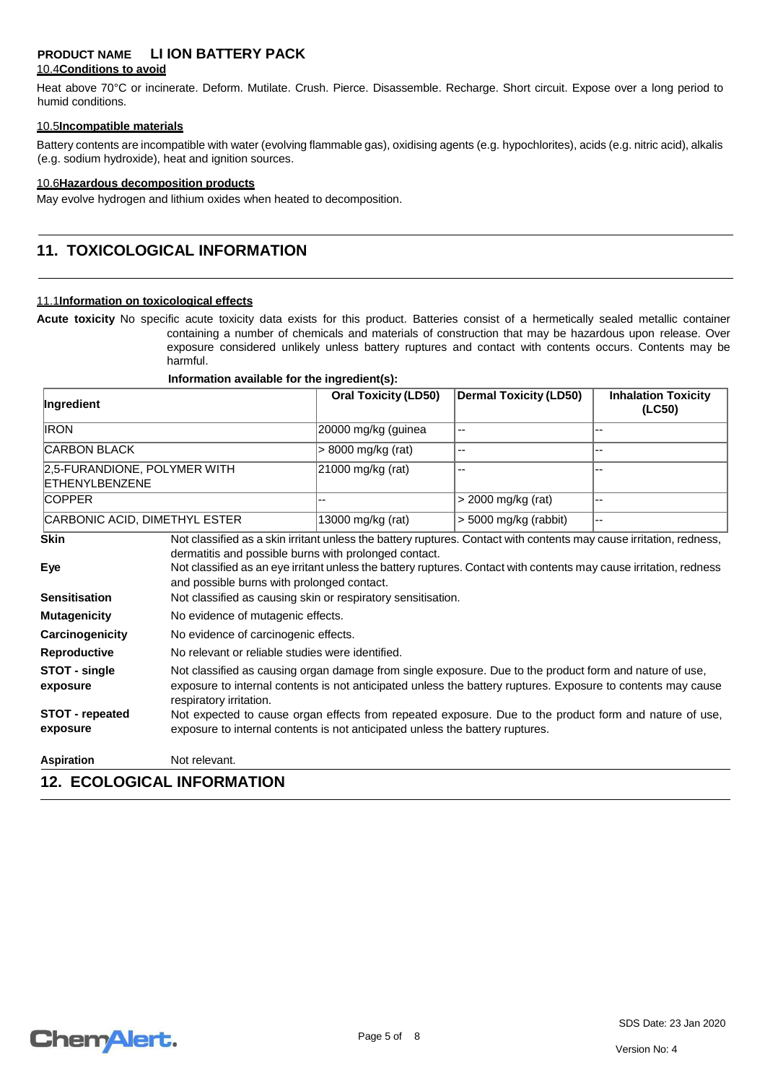## 10.4**Conditions to avoid**

Heat above 70°C or incinerate. Deform. Mutilate. Crush. Pierce. Disassemble. Recharge. Short circuit. Expose over a long period to humid conditions.

#### 10.5**Incompatible materials**

Battery contents are incompatible with water (evolving flammable gas), oxidising agents (e.g. hypochlorites), acids (e.g. nitric acid), alkalis (e.g. sodium hydroxide), heat and ignition sources.

#### 10.6**Hazardous decomposition products**

May evolve hydrogen and lithium oxides when heated to decomposition.

# **11. TOXICOLOGICAL INFORMATION**

#### 11.1**Information on toxicological effects**

**Acute toxicity** No specific acute toxicity data exists for this product. Batteries consist of a hermetically sealed metallic container containing a number of chemicals and materials of construction that may be hazardous upon release. Over exposure considered unlikely unless battery ruptures and contact with contents occurs. Contents may be harmful.

#### **Information available for the ingredient(s):**

| Ingredient                                     |                                                                                                                                                                                                                                                                                                                                                  | <b>Oral Toxicity (LD50)</b>                                  | <b>Dermal Toxicity (LD50)</b> | <b>Inhalation Toxicity</b><br>(LC50) |  |
|------------------------------------------------|--------------------------------------------------------------------------------------------------------------------------------------------------------------------------------------------------------------------------------------------------------------------------------------------------------------------------------------------------|--------------------------------------------------------------|-------------------------------|--------------------------------------|--|
| <b>IRON</b>                                    |                                                                                                                                                                                                                                                                                                                                                  | 20000 mg/kg (guinea                                          | --                            | --                                   |  |
| <b>CARBON BLACK</b>                            |                                                                                                                                                                                                                                                                                                                                                  | > 8000 mg/kg (rat)                                           | --                            | --                                   |  |
| 2,5-FURANDIONE, POLYMER WITH<br>ETHENYLBENZENE |                                                                                                                                                                                                                                                                                                                                                  | 21000 mg/kg (rat)                                            | --                            | --                                   |  |
| <b>COPPER</b>                                  |                                                                                                                                                                                                                                                                                                                                                  | --                                                           | > 2000 mg/kg (rat)            | --                                   |  |
| CARBONIC ACID, DIMETHYL ESTER                  |                                                                                                                                                                                                                                                                                                                                                  | 13000 mg/kg (rat)                                            | $>$ 5000 mg/kg (rabbit)       | --                                   |  |
| <b>Skin</b><br>Eye                             | Not classified as a skin irritant unless the battery ruptures. Contact with contents may cause irritation, redness,<br>dermatitis and possible burns with prolonged contact.<br>Not classified as an eye irritant unless the battery ruptures. Contact with contents may cause irritation, redness<br>and possible burns with prolonged contact. |                                                              |                               |                                      |  |
| <b>Sensitisation</b>                           |                                                                                                                                                                                                                                                                                                                                                  | Not classified as causing skin or respiratory sensitisation. |                               |                                      |  |
| <b>Mutagenicity</b>                            |                                                                                                                                                                                                                                                                                                                                                  | No evidence of mutagenic effects.                            |                               |                                      |  |
| Carcinogenicity                                | No evidence of carcinogenic effects.                                                                                                                                                                                                                                                                                                             |                                                              |                               |                                      |  |
| <b>Reproductive</b>                            |                                                                                                                                                                                                                                                                                                                                                  | No relevant or reliable studies were identified.             |                               |                                      |  |
| STOT - single<br>exposure                      | Not classified as causing organ damage from single exposure. Due to the product form and nature of use,<br>exposure to internal contents is not anticipated unless the battery ruptures. Exposure to contents may cause<br>respiratory irritation.                                                                                               |                                                              |                               |                                      |  |
| <b>STOT</b> - repeated<br>exposure             | Not expected to cause organ effects from repeated exposure. Due to the product form and nature of use,<br>exposure to internal contents is not anticipated unless the battery ruptures.                                                                                                                                                          |                                                              |                               |                                      |  |
| <b>Aspiration</b>                              | Not relevant.                                                                                                                                                                                                                                                                                                                                    |                                                              |                               |                                      |  |

**12. ECOLOGICAL INFORMATION**

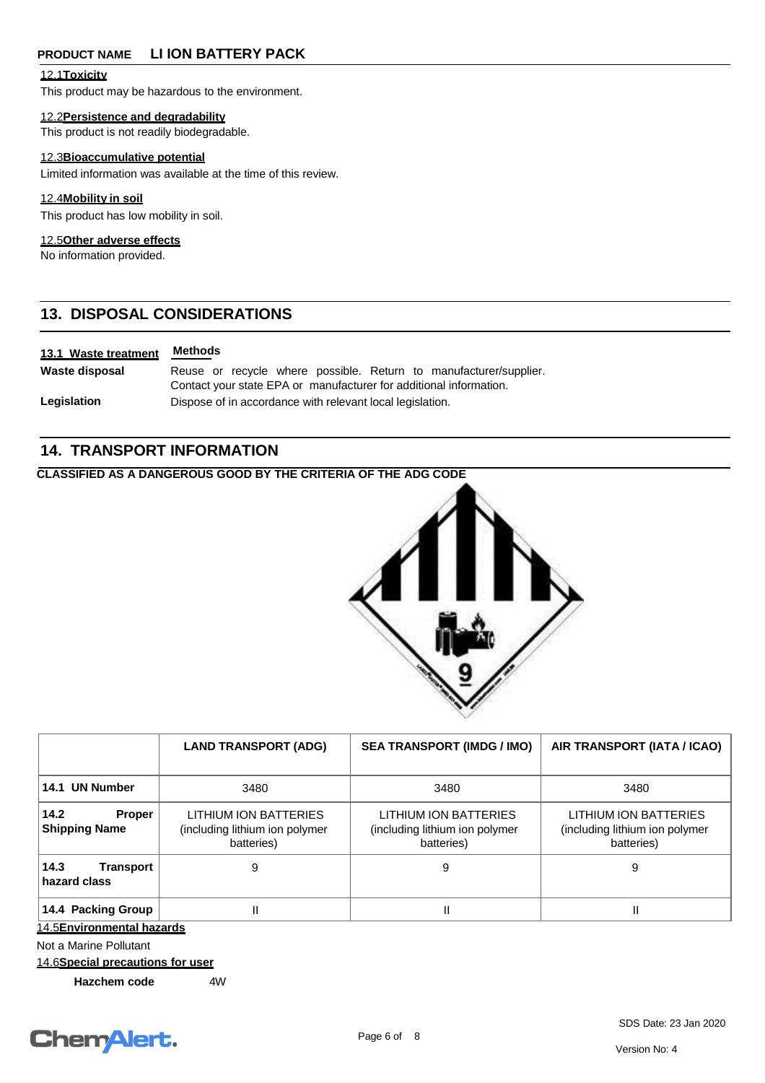#### 12.1**Toxicity**

This product may be hazardous to the environment.

### 12.2**Persistence and degradability**

This product is not readily biodegradable.

## 12.3**Bioaccumulative potential**

Limited information was available at the time of this review.

12.4**Mobility in soil**

This product has low mobility in soil.

12.5**Other adverse effects**

No information provided.

# **13. DISPOSAL CONSIDERATIONS**

## **13.1 Waste treatment Methods**

| Waste disposal |  |  |                                                           |  | Reuse or recycle where possible. Return to manufacturer/supplier.  |
|----------------|--|--|-----------------------------------------------------------|--|--------------------------------------------------------------------|
|                |  |  |                                                           |  | Contact your state EPA or manufacturer for additional information. |
| Legislation    |  |  | Dispose of in accordance with relevant local legislation. |  |                                                                    |

# **14. TRANSPORT INFORMATION**

# **CLASSIFIED AS A DANGEROUS GOOD BY THE CRITERIA OF THE ADG CODE**



|                                               | <b>LAND TRANSPORT (ADG)</b>                                           | <b>SEA TRANSPORT (IMDG / IMO)</b>                                     | AIR TRANSPORT (IATA / ICAO)                                           |
|-----------------------------------------------|-----------------------------------------------------------------------|-----------------------------------------------------------------------|-----------------------------------------------------------------------|
| 14.1 UN Number                                | 3480                                                                  | 3480                                                                  | 3480                                                                  |
| 14.2<br><b>Proper</b><br><b>Shipping Name</b> | LITHIUM ION BATTERIES<br>(including lithium ion polymer<br>batteries) | LITHIUM ION BATTERIES<br>(including lithium ion polymer<br>batteries) | LITHIUM ION BATTERIES<br>(including lithium ion polymer<br>batteries) |
| 14.3<br>Transport<br>hazard class             | 9                                                                     | 9                                                                     | 9                                                                     |
| 14.4 Packing Group                            |                                                                       | Ш                                                                     |                                                                       |

14.5**Environmental hazards**

Not a Marine Pollutant

14.6**Special precautions for user**

**Hazchem code** 4W

# Chem Alert.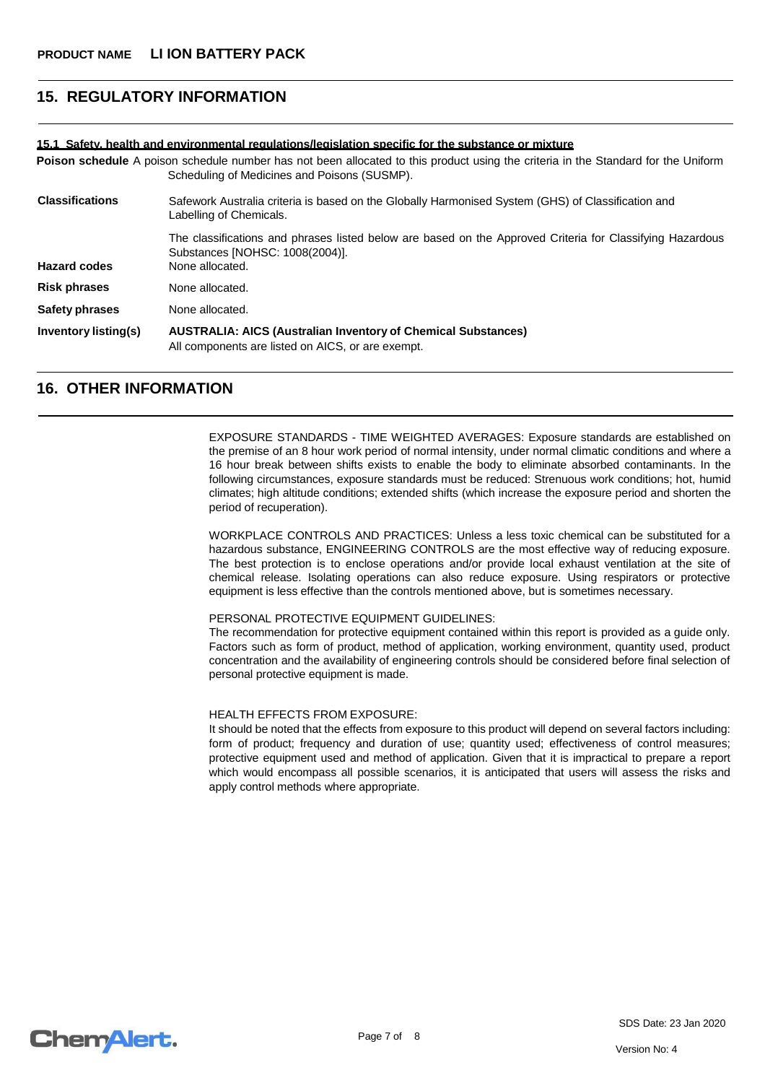# **15. REGULATORY INFORMATION**

#### **15.1 Safety, health and environmental regulations/legislation specific for the substance or mixture**

**Poison schedule** A poison schedule number has not been allocated to this product using the criteria in the Standard for the Uniform Scheduling of Medicines and Poisons (SUSMP). **Classifications** Safework Australia criteria is based on the Globally Harmonised System (GHS) of Classification and Labelling of Chemicals. The classifications and phrases listed below are based on the Approved Criteria for Classifying Hazardous Substances [NOHSC: 1008(2004)]. Hazard codes None allocated. **Risk phrases** None allocated. **Safety phrases** None allocated. **Inventory listing(s) AUSTRALIA: AICS (Australian Inventory of Chemical Substances)** All components are listed on AICS, or are exempt.

# **16. OTHER INFORMATION**

EXPOSURE STANDARDS - TIME WEIGHTED AVERAGES: Exposure standards are established on the premise of an 8 hour work period of normal intensity, under normal climatic conditions and where a 16 hour break between shifts exists to enable the body to eliminate absorbed contaminants. In the following circumstances, exposure standards must be reduced: Strenuous work conditions; hot, humid climates; high altitude conditions; extended shifts (which increase the exposure period and shorten the period of recuperation).

WORKPLACE CONTROLS AND PRACTICES: Unless a less toxic chemical can be substituted for a hazardous substance, ENGINEERING CONTROLS are the most effective way of reducing exposure. The best protection is to enclose operations and/or provide local exhaust ventilation at the site of chemical release. Isolating operations can also reduce exposure. Using respirators or protective equipment is less effective than the controls mentioned above, but is sometimes necessary.

#### PERSONAL PROTECTIVE EQUIPMENT GUIDELINES:

The recommendation for protective equipment contained within this report is provided as a guide only. Factors such as form of product, method of application, working environment, quantity used, product concentration and the availability of engineering controls should be considered before final selection of personal protective equipment is made.

#### HEALTH EFFECTS FROM EXPOSURE:

It should be noted that the effects from exposure to this product will depend on several factors including: form of product; frequency and duration of use; quantity used; effectiveness of control measures; protective equipment used and method of application. Given that it is impractical to prepare a report which would encompass all possible scenarios, it is anticipated that users will assess the risks and apply control methods where appropriate.